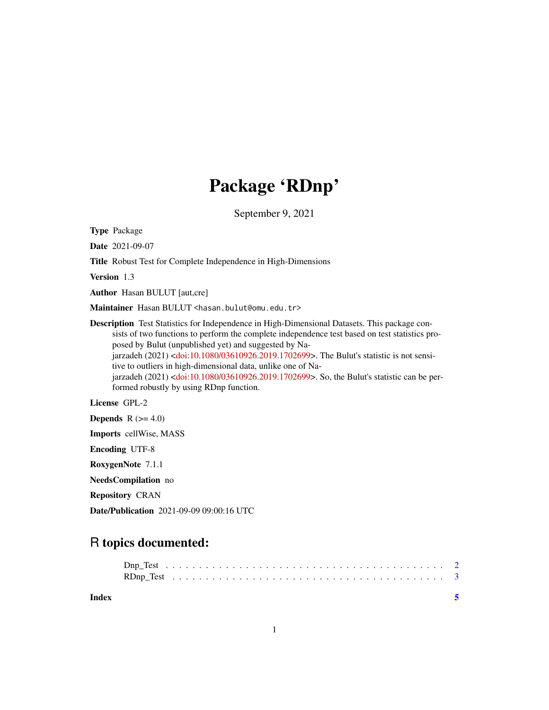## Package 'RDnp'

September 9, 2021

Type Package

Date 2021-09-07

Title Robust Test for Complete Independence in High-Dimensions

Version 1.3

Author Hasan BULUT [aut,cre]

Maintainer Hasan BULUT <hasan.bulut@omu.edu.tr>

Description Test Statistics for Independence in High-Dimensional Datasets. This package consists of two functions to perform the complete independence test based on test statistics proposed by Bulut (unpublished yet) and suggested by Na-jarzadeh (2021) [<doi:10.1080/03610926.2019.1702699>](https://doi.org/10.1080/03610926.2019.1702699). The Bulut's statistic is not sensitive to outliers in high-dimensional data, unlike one of Najarzadeh (2021) [<doi:10.1080/03610926.2019.1702699>](https://doi.org/10.1080/03610926.2019.1702699). So, the Bulut's statistic can be performed robustly by using RDnp function.

License GPL-2

**Depends**  $R$  ( $>= 4.0$ )

Imports cellWise, MASS

Encoding UTF-8

RoxygenNote 7.1.1

NeedsCompilation no

Repository CRAN

Date/Publication 2021-09-09 09:00:16 UTC

### R topics documented:

| Index |  |  |  |  |  |  |  |  |  |  |  |  |  |  |  |  |  |  |
|-------|--|--|--|--|--|--|--|--|--|--|--|--|--|--|--|--|--|--|
|       |  |  |  |  |  |  |  |  |  |  |  |  |  |  |  |  |  |  |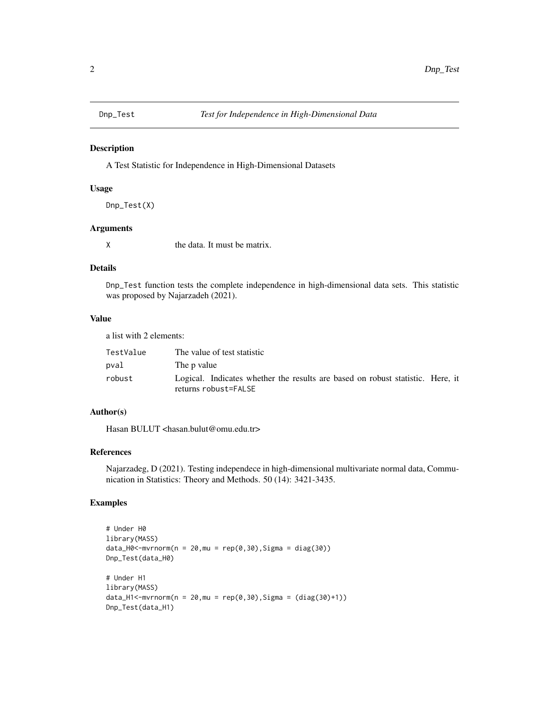<span id="page-1-0"></span>

#### Description

A Test Statistic for Independence in High-Dimensional Datasets

#### Usage

Dnp\_Test(X)

#### Arguments

X the data. It must be matrix.

#### Details

Dnp\_Test function tests the complete independence in high-dimensional data sets. This statistic was proposed by Najarzadeh (2021).

#### Value

a list with 2 elements:

| TestValue | The value of test statistic                                                    |
|-----------|--------------------------------------------------------------------------------|
| pval      | The p value                                                                    |
| robust    | Logical. Indicates whether the results are based on robust statistic. Here, it |
|           | returns robust=FALSE                                                           |

#### Author(s)

Hasan BULUT <hasan.bulut@omu.edu.tr>

#### References

Najarzadeg, D (2021). Testing independece in high-dimensional multivariate normal data, Communication in Statistics: Theory and Methods. 50 (14): 3421-3435.

#### Examples

```
# Under H0
library(MASS)
data_H0<-mvrnorm(n = 20, mu = rep(0, 30), Sigma = diag(30))
Dnp_Test(data_H0)
# Under H1
library(MASS)
data_H1 < -mvrnorm(n = 20, mu = rep(0, 30), Sigma = (diag(30) + 1))Dnp_Test(data_H1)
```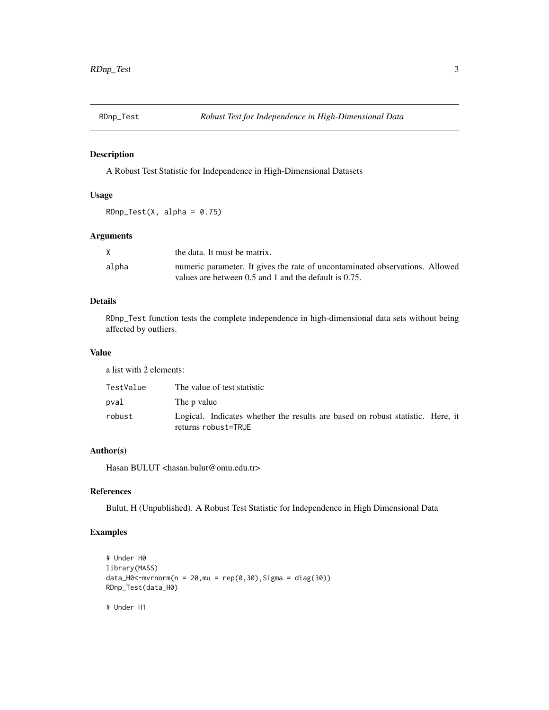<span id="page-2-0"></span>

#### Description

A Robust Test Statistic for Independence in High-Dimensional Datasets

#### Usage

 $RDnp\_Test(X, alpha = 0.75)$ 

#### Arguments

|       | the data. It must be matrix.                                                 |
|-------|------------------------------------------------------------------------------|
| alpha | numeric parameter. It gives the rate of uncontaminated observations. Allowed |
|       | values are between 0.5 and 1 and the default is 0.75.                        |

#### Details

RDnp\_Test function tests the complete independence in high-dimensional data sets without being affected by outliers.

#### Value

a list with 2 elements:

| TestValue | The value of test statistic                                                                           |
|-----------|-------------------------------------------------------------------------------------------------------|
| pval      | The p value                                                                                           |
| robust    | Logical. Indicates whether the results are based on robust statistic. Here, it<br>returns robust=TRUE |

#### Author(s)

Hasan BULUT <hasan.bulut@omu.edu.tr>

#### References

Bulut, H (Unpublished). A Robust Test Statistic for Independence in High Dimensional Data

#### Examples

```
# Under H0
library(MASS)
data_H0 < -mvrnorm(n = 20, mu = rep(0, 30), Sigma = diag(30))RDnp_Test(data_H0)
```
# Under H1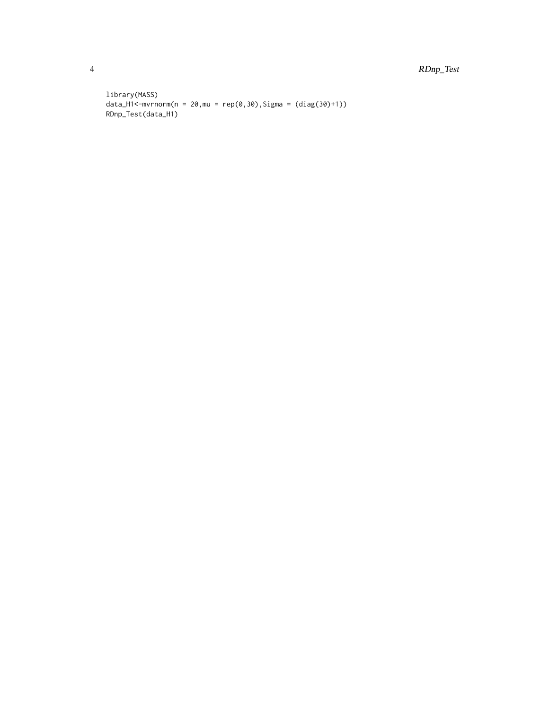4 RDnp\_Test

```
library(MASS)
data_H1 <- m\nu r n \text{ or } m(n = 20, m\nu = rep(0, 30), Sigma = (diag(30)+1))RDnp_Test(data_H1)
```